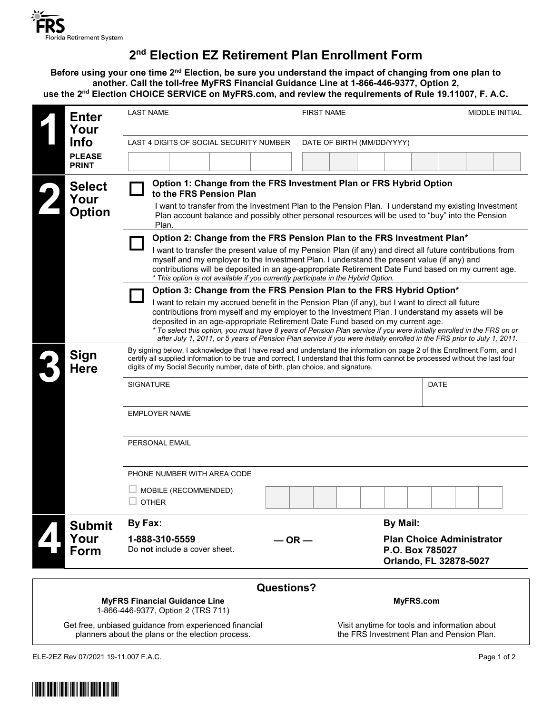

## **2nd Election EZ Retirement Plan Enrollment Form**

**Before using your one time 2nd Election, be sure you understand the impact of changing from one plan to another. Call the toll-free MyFRS Financial Guidance Line at 1-866-446-9377, Option 2, use the 2nd Election CHOICE SERVICE on MyFRS.com, and review the requirements of Rule 19.11007, F. A.C.**

|                                                                                                                                                                                                           | <b>Enter</b><br>Your<br><b>Info</b><br><b>PLEASE</b><br><b>PRINT</b> | <b>LAST NAME</b>                                                                                                                                                                                                                                                                                                                                                                                                                                                                                                                                                                                                    | <b>FIRST NAME</b>             | MIDDLE INITIAL                                             |
|-----------------------------------------------------------------------------------------------------------------------------------------------------------------------------------------------------------|----------------------------------------------------------------------|---------------------------------------------------------------------------------------------------------------------------------------------------------------------------------------------------------------------------------------------------------------------------------------------------------------------------------------------------------------------------------------------------------------------------------------------------------------------------------------------------------------------------------------------------------------------------------------------------------------------|-------------------------------|------------------------------------------------------------|
|                                                                                                                                                                                                           |                                                                      | LAST 4 DIGITS OF SOCIAL SECURITY NUMBER<br>DATE OF BIRTH (MM/DD/YYYY)                                                                                                                                                                                                                                                                                                                                                                                                                                                                                                                                               |                               |                                                            |
|                                                                                                                                                                                                           |                                                                      |                                                                                                                                                                                                                                                                                                                                                                                                                                                                                                                                                                                                                     |                               |                                                            |
|                                                                                                                                                                                                           | <b>Select</b><br>Your<br><b>Option</b>                               | Option 1: Change from the FRS Investment Plan or FRS Hybrid Option<br>to the FRS Pension Plan<br>I want to transfer from the Investment Plan to the Pension Plan. I understand my existing Investment<br>Plan account balance and possibly other personal resources will be used to "buy" into the Pension<br>Plan.                                                                                                                                                                                                                                                                                                 |                               |                                                            |
|                                                                                                                                                                                                           |                                                                      | Option 2: Change from the FRS Pension Plan to the FRS Investment Plan*<br>I want to transfer the present value of my Pension Plan (if any) and direct all future contributions from<br>myself and my employer to the Investment Plan. I understand the present value (if any) and<br>contributions will be deposited in an age-appropriate Retirement Date Fund based on my current age.<br>* This option is not available if you currently participate in the Hybrid Option.                                                                                                                                       |                               |                                                            |
|                                                                                                                                                                                                           |                                                                      | Option 3: Change from the FRS Pension Plan to the FRS Hybrid Option*<br>I want to retain my accrued benefit in the Pension Plan (if any), but I want to direct all future<br>contributions from myself and my employer to the Investment Plan. I understand my assets will be<br>deposited in an age-appropriate Retirement Date Fund based on my current age.<br>* To select this option, you must have 8 years of Pension Plan service if you were initially enrolled in the FRS on or<br>after July 1, 2011, or 5 years of Pension Plan service if you were initially enrolled in the FRS prior to July 1, 2011. |                               |                                                            |
|                                                                                                                                                                                                           | <b>Sign</b><br><b>Here</b>                                           | By signing below, I acknowledge that I have read and understand the information on page 2 of this Enrollment Form, and I<br>certify all supplied information to be true and correct. I understand that this form cannot be processed without the last four<br>digits of my Social Security number, date of birth, plan choice, and signature.<br><b>SIGNATURE</b><br><b>EMPLOYER NAME</b>                                                                                                                                                                                                                           |                               | DATE                                                       |
|                                                                                                                                                                                                           |                                                                      | PERSONAL EMAIL                                                                                                                                                                                                                                                                                                                                                                                                                                                                                                                                                                                                      |                               |                                                            |
|                                                                                                                                                                                                           |                                                                      | PHONE NUMBER WITH AREA CODE                                                                                                                                                                                                                                                                                                                                                                                                                                                                                                                                                                                         |                               |                                                            |
|                                                                                                                                                                                                           |                                                                      | MOBILE (RECOMMENDED)<br>$\square$ other                                                                                                                                                                                                                                                                                                                                                                                                                                                                                                                                                                             |                               |                                                            |
|                                                                                                                                                                                                           | <b>Submit</b>                                                        | By Fax:                                                                                                                                                                                                                                                                                                                                                                                                                                                                                                                                                                                                             | <b>By Mail:</b>               |                                                            |
|                                                                                                                                                                                                           | Your<br>Form                                                         | 1-888-310-5559<br>Do not include a cover sheet.                                                                                                                                                                                                                                                                                                                                                                                                                                                                                                                                                                     | $-$ OR $-$<br>P.O. Box 785027 | <b>Plan Choice Administrator</b><br>Orlando, FL 32878-5027 |
|                                                                                                                                                                                                           |                                                                      |                                                                                                                                                                                                                                                                                                                                                                                                                                                                                                                                                                                                                     |                               |                                                            |
| <b>Questions?</b><br>MyFRS.com<br><b>MyFRS Financial Guidance Line</b><br>1-866-446-9377, Option 2 (TRS 711)                                                                                              |                                                                      |                                                                                                                                                                                                                                                                                                                                                                                                                                                                                                                                                                                                                     |                               |                                                            |
| Get free, unbiased guidance from experienced financial<br>Visit anytime for tools and information about<br>planners about the plans or the election process.<br>the FRS Investment Plan and Pension Plan. |                                                                      |                                                                                                                                                                                                                                                                                                                                                                                                                                                                                                                                                                                                                     |                               |                                                            |

ELE-2EZ Rev 07/2021 19-11.007 F.A.C. Page 1 of 2